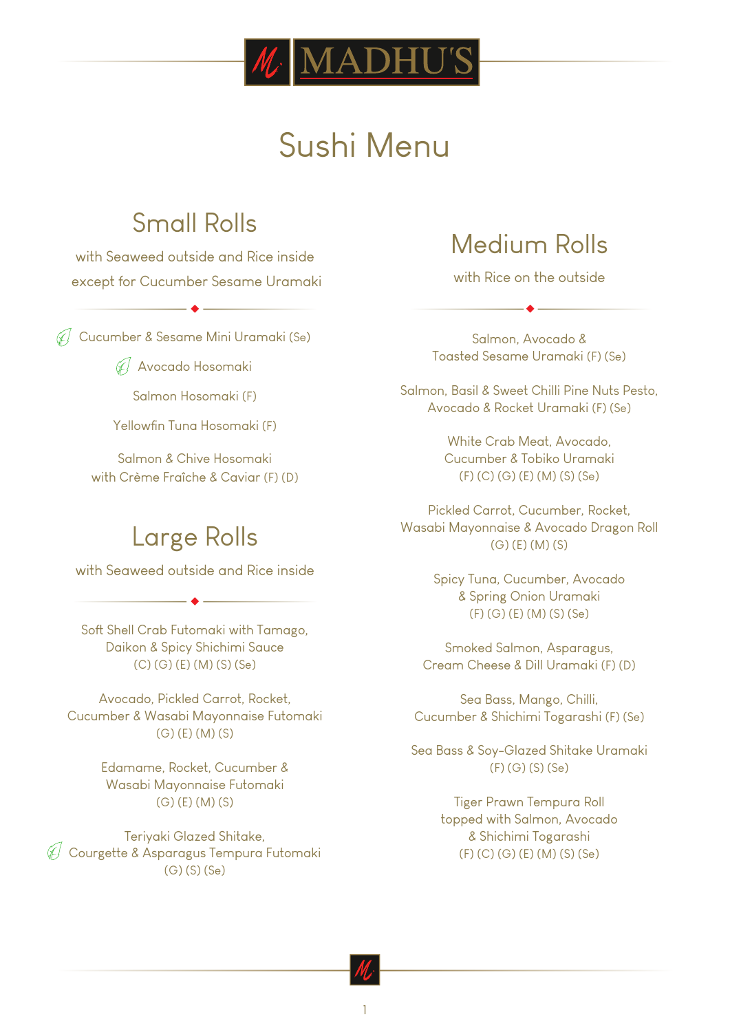

## Sushi Menu

## Small Rolls

with Seaweed outside and Rice inside except for Cucumber Sesame Uramaki

Cucumber & Sesame Mini Uramaki (Se)

Avocado Hosomaki

Salmon Hosomaki (F)

Yellowfin Tuna Hosomaki (F)

Salmon & Chive Hosomaki with Crème Fraîche & Caviar (F) (D)

## Large Rolls

with Seaweed outside and Rice inside

Soft Shell Crab Futomaki with Tamago, Daikon & Spicy Shichimi Sauce (C) (G) (E) (M) (S) (Se)

Avocado, Pickled Carrot, Rocket, Cucumber & Wasabi Mayonnaise Futomaki (G) (E) (M) (S)

> Edamame, Rocket, Cucumber & Wasabi Mayonnaise Futomaki (G) (E) (M) (S)

Teriyaki Glazed Shitake,  $\overline{\mathscr{C}}$  Courgette & Asparagus Tempura Futomaki (G) (S) (Se)

## Medium Rolls

with Rice on the outside

Salmon, Avocado & Toasted Sesame Uramaki (F) (Se)

Salmon, Basil & Sweet Chilli Pine Nuts Pesto, Avocado & Rocket Uramaki (F) (Se)

> White Crab Meat, Avocado, Cucumber & Tobiko Uramaki (F) (C) (G) (E) (M) (S) (Se)

Pickled Carrot, Cucumber, Rocket, Wasabi Mayonnaise & Avocado Dragon Roll (G) (E) (M) (S)

> Spicy Tuna, Cucumber, Avocado & Spring Onion Uramaki (F) (G) (E) (M) (S) (Se)

Smoked Salmon, Asparagus, Cream Cheese & Dill Uramaki (F) (D)

Sea Bass, Mango, Chilli, Cucumber & Shichimi Togarashi (F) (Se)

Sea Bass & Soy-Glazed Shitake Uramaki (F) (G) (S) (Se)

> Tiger Prawn Tempura Roll topped with Salmon, Avocado & Shichimi Togarashi (F) (C) (G) (E) (M) (S) (Se)